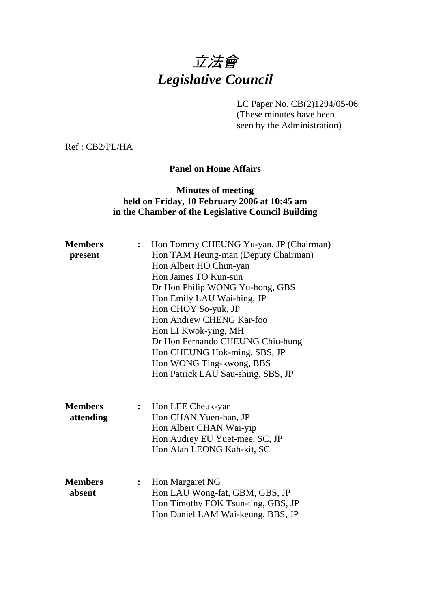# 立法會 *Legislative Council*

LC Paper No. CB(2)1294/05-06

(These minutes have been seen by the Administration)

Ref : CB2/PL/HA

#### **Panel on Home Affairs**

## **Minutes of meeting held on Friday, 10 February 2006 at 10:45 am in the Chamber of the Legislative Council Building**

| <b>Members</b><br>present | $\ddot{\cdot}$ | Hon Tommy CHEUNG Yu-yan, JP (Chairman)<br>Hon TAM Heung-man (Deputy Chairman) |  |
|---------------------------|----------------|-------------------------------------------------------------------------------|--|
|                           |                | Hon Albert HO Chun-yan                                                        |  |
|                           |                | Hon James TO Kun-sun                                                          |  |
|                           |                | Dr Hon Philip WONG Yu-hong, GBS                                               |  |
|                           |                | Hon Emily LAU Wai-hing, JP                                                    |  |
|                           |                | Hon CHOY So-yuk, JP                                                           |  |
|                           |                | Hon Andrew CHENG Kar-foo                                                      |  |
|                           |                | Hon LI Kwok-ying, MH                                                          |  |
|                           |                | Dr Hon Fernando CHEUNG Chiu-hung                                              |  |
|                           |                | Hon CHEUNG Hok-ming, SBS, JP                                                  |  |
|                           |                | Hon WONG Ting-kwong, BBS                                                      |  |
|                           |                | Hon Patrick LAU Sau-shing, SBS, JP                                            |  |
| <b>Members</b>            |                |                                                                               |  |
|                           | $\ddot{\cdot}$ | Hon LEE Cheuk-yan                                                             |  |
| attending                 |                | Hon CHAN Yuen-han, JP                                                         |  |
|                           |                | Hon Albert CHAN Wai-yip<br>Hon Audrey EU Yuet-mee, SC, JP                     |  |
|                           |                | Hon Alan LEONG Kah-kit, SC                                                    |  |
|                           |                |                                                                               |  |
| <b>Members</b>            | :              | Hon Margaret NG                                                               |  |
| absent                    |                | Hon LAU Wong-fat, GBM, GBS, JP                                                |  |
|                           |                | Hon Timothy FOK Tsun-ting, GBS, JP                                            |  |
|                           |                | Hon Daniel LAM Wai-keung, BBS, JP                                             |  |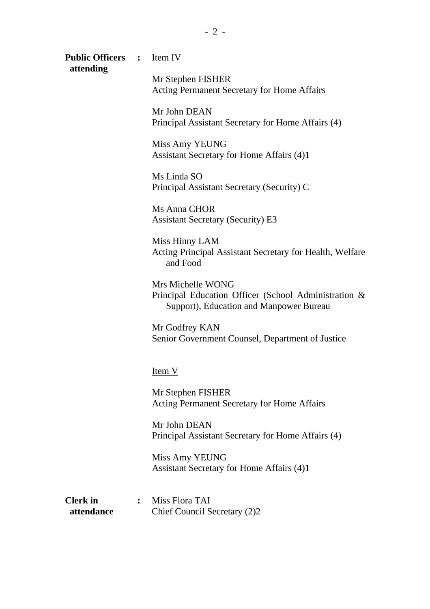|                               | Mr Stephen FISHER<br><b>Acting Permanent Secretary for Home Affairs</b>                                              |
|-------------------------------|----------------------------------------------------------------------------------------------------------------------|
|                               | Mr John DEAN<br>Principal Assistant Secretary for Home Affairs (4)                                                   |
|                               | Miss Amy YEUNG<br>Assistant Secretary for Home Affairs (4)1                                                          |
|                               | Ms Linda SO<br>Principal Assistant Secretary (Security) C                                                            |
|                               | Ms Anna CHOR<br><b>Assistant Secretary (Security) E3</b>                                                             |
|                               | Miss Hinny LAM<br>Acting Principal Assistant Secretary for Health, Welfare<br>and Food                               |
|                               | Mrs Michelle WONG<br>Principal Education Officer (School Administration &<br>Support), Education and Manpower Bureau |
|                               | Mr Godfrey KAN<br>Senior Government Counsel, Department of Justice                                                   |
|                               | Item V                                                                                                               |
|                               | Mr Stephen FISHER<br>Acting Permanent Secretary for Home Affairs                                                     |
|                               | Mr John DEAN<br>Principal Assistant Secretary for Home Affairs (4)                                                   |
|                               | Miss Amy YEUNG<br>Assistant Secretary for Home Affairs (4)1                                                          |
| <b>Clerk</b> in<br>attendance | Miss Flora TAI<br>$\ddot{\cdot}$<br>Chief Council Secretary (2)2                                                     |

Public Officers : <u>Item IV</u>

 **attending**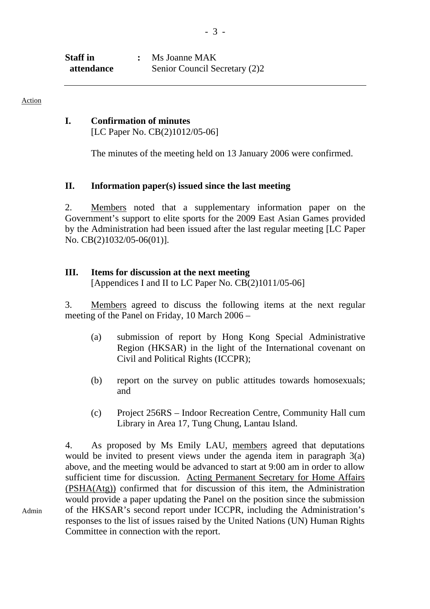| Staff in   | Ms Joanne MAK                 |
|------------|-------------------------------|
| attendance | Senior Council Secretary (2)2 |

Admin

#### **I. Confirmation of minutes**

[LC Paper No. CB(2)1012/05-06]

The minutes of the meeting held on 13 January 2006 were confirmed.

#### **II. Information paper(s) issued since the last meeting**

2. Members noted that a supplementary information paper on the Government's support to elite sports for the 2009 East Asian Games provided by the Administration had been issued after the last regular meeting [LC Paper No. CB(2)1032/05-06(01)].

#### **III. Items for discussion at the next meeting**

[Appendices I and II to LC Paper No. CB(2)1011/05-06]

3. Members agreed to discuss the following items at the next regular meeting of the Panel on Friday, 10 March 2006 –

- (a) submission of report by Hong Kong Special Administrative Region (HKSAR) in the light of the International covenant on Civil and Political Rights (ICCPR);
- (b) report on the survey on public attitudes towards homosexuals; and
- (c) Project 256RS Indoor Recreation Centre, Community Hall cum Library in Area 17, Tung Chung, Lantau Island.

4. As proposed by Ms Emily LAU, members agreed that deputations would be invited to present views under the agenda item in paragraph 3(a) above, and the meeting would be advanced to start at 9:00 am in order to allow sufficient time for discussion. Acting Permanent Secretary for Home Affairs (PSHA(Atg)) confirmed that for discussion of this item, the Administration would provide a paper updating the Panel on the position since the submission of the HKSAR's second report under ICCPR, including the Administration's responses to the list of issues raised by the United Nations (UN) Human Rights Committee in connection with the report.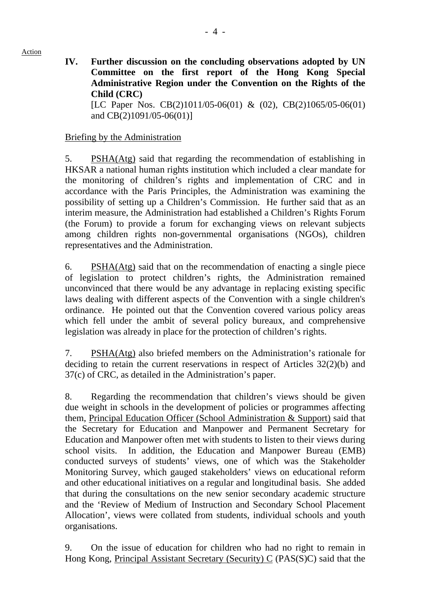**IV. Further discussion on the concluding observations adopted by UN Committee on the first report of the Hong Kong Special Administrative Region under the Convention on the Rights of the Child (CRC)**  [LC Paper Nos. CB(2)1011/05-06(01) & (02), CB(2)1065/05-06(01) and CB(2)1091/05-06(01)]

Briefing by the Administration

5. PSHA(Atg) said that regarding the recommendation of establishing in HKSAR a national human rights institution which included a clear mandate for the monitoring of children's rights and implementation of CRC and in accordance with the Paris Principles, the Administration was examining the possibility of setting up a Children's Commission. He further said that as an interim measure, the Administration had established a Children's Rights Forum (the Forum) to provide a forum for exchanging views on relevant subjects among children rights non-governmental organisations (NGOs), children representatives and the Administration.

6. PSHA(Atg) said that on the recommendation of enacting a single piece of legislation to protect children's rights, the Administration remained unconvinced that there would be any advantage in replacing existing specific laws dealing with different aspects of the Convention with a single children's ordinance. He pointed out that the Convention covered various policy areas which fell under the ambit of several policy bureaux, and comprehensive legislation was already in place for the protection of children's rights.

7. PSHA(Atg) also briefed members on the Administration's rationale for deciding to retain the current reservations in respect of Articles 32(2)(b) and 37(c) of CRC, as detailed in the Administration's paper.

8. Regarding the recommendation that children's views should be given due weight in schools in the development of policies or programmes affecting them, Principal Education Officer (School Administration & Support) said that the Secretary for Education and Manpower and Permanent Secretary for Education and Manpower often met with students to listen to their views during school visits. In addition, the Education and Manpower Bureau (EMB) conducted surveys of students' views, one of which was the Stakeholder Monitoring Survey, which gauged stakeholders' views on educational reform and other educational initiatives on a regular and longitudinal basis. She added that during the consultations on the new senior secondary academic structure and the 'Review of Medium of Instruction and Secondary School Placement Allocation', views were collated from students, individual schools and youth organisations.

9. On the issue of education for children who had no right to remain in Hong Kong, Principal Assistant Secretary (Security) C (PAS(S)C) said that the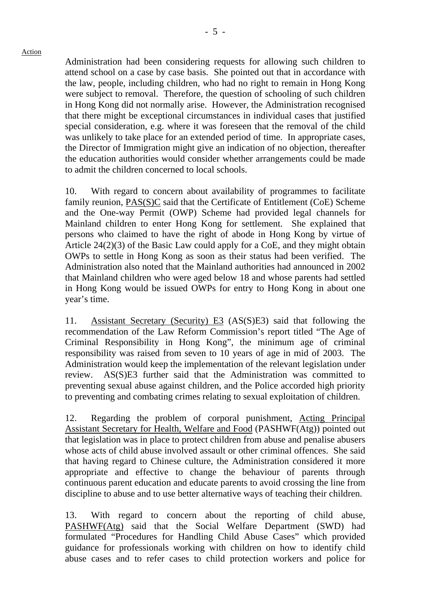Administration had been considering requests for allowing such children to attend school on a case by case basis. She pointed out that in accordance with the law, people, including children, who had no right to remain in Hong Kong were subject to removal. Therefore, the question of schooling of such children in Hong Kong did not normally arise. However, the Administration recognised that there might be exceptional circumstances in individual cases that justified special consideration, e.g. where it was foreseen that the removal of the child was unlikely to take place for an extended period of time. In appropriate cases, the Director of Immigration might give an indication of no objection, thereafter the education authorities would consider whether arrangements could be made to admit the children concerned to local schools.

10. With regard to concern about availability of programmes to facilitate family reunion, PAS(S)C said that the Certificate of Entitlement (CoE) Scheme and the One-way Permit (OWP) Scheme had provided legal channels for Mainland children to enter Hong Kong for settlement. She explained that persons who claimed to have the right of abode in Hong Kong by virtue of Article 24(2)(3) of the Basic Law could apply for a CoE, and they might obtain OWPs to settle in Hong Kong as soon as their status had been verified. The Administration also noted that the Mainland authorities had announced in 2002 that Mainland children who were aged below 18 and whose parents had settled in Hong Kong would be issued OWPs for entry to Hong Kong in about one year's time.

11. Assistant Secretary (Security) E3 (AS(S)E3) said that following the recommendation of the Law Reform Commission's report titled "The Age of Criminal Responsibility in Hong Kong", the minimum age of criminal responsibility was raised from seven to 10 years of age in mid of 2003. The Administration would keep the implementation of the relevant legislation under review. AS(S)E3 further said that the Administration was committed to preventing sexual abuse against children, and the Police accorded high priority to preventing and combating crimes relating to sexual exploitation of children.

12. Regarding the problem of corporal punishment, Acting Principal Assistant Secretary for Health, Welfare and Food (PASHWF(Atg)) pointed out that legislation was in place to protect children from abuse and penalise abusers whose acts of child abuse involved assault or other criminal offences. She said that having regard to Chinese culture, the Administration considered it more appropriate and effective to change the behaviour of parents through continuous parent education and educate parents to avoid crossing the line from discipline to abuse and to use better alternative ways of teaching their children.

13. With regard to concern about the reporting of child abuse, PASHWF(Atg) said that the Social Welfare Department (SWD) had formulated "Procedures for Handling Child Abuse Cases" which provided guidance for professionals working with children on how to identify child abuse cases and to refer cases to child protection workers and police for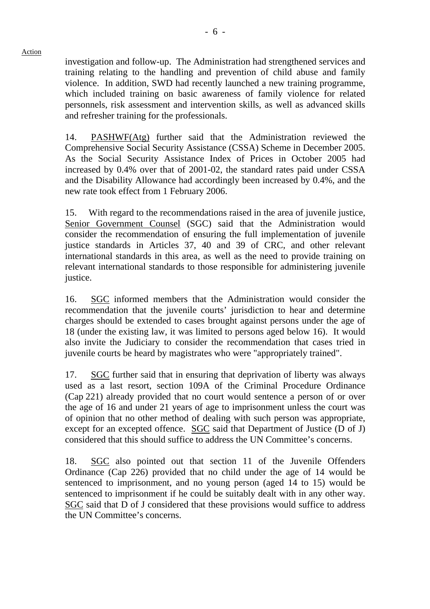investigation and follow-up. The Administration had strengthened services and training relating to the handling and prevention of child abuse and family violence. In addition, SWD had recently launched a new training programme, which included training on basic awareness of family violence for related personnels, risk assessment and intervention skills, as well as advanced skills and refresher training for the professionals.

14. PASHWF(Atg) further said that the Administration reviewed the Comprehensive Social Security Assistance (CSSA) Scheme in December 2005. As the Social Security Assistance Index of Prices in October 2005 had increased by 0.4% over that of 2001-02, the standard rates paid under CSSA and the Disability Allowance had accordingly been increased by 0.4%, and the new rate took effect from 1 February 2006.

15. With regard to the recommendations raised in the area of juvenile justice, Senior Government Counsel (SGC) said that the Administration would consider the recommendation of ensuring the full implementation of juvenile justice standards in Articles 37, 40 and 39 of CRC, and other relevant international standards in this area, as well as the need to provide training on relevant international standards to those responsible for administering juvenile justice.

16. SGC informed members that the Administration would consider the recommendation that the juvenile courts' jurisdiction to hear and determine charges should be extended to cases brought against persons under the age of 18 (under the existing law, it was limited to persons aged below 16). It would also invite the Judiciary to consider the recommendation that cases tried in juvenile courts be heard by magistrates who were "appropriately trained".

17. SGC further said that in ensuring that deprivation of liberty was always used as a last resort, section 109A of the Criminal Procedure Ordinance (Cap 221) already provided that no court would sentence a person of or over the age of 16 and under 21 years of age to imprisonment unless the court was of opinion that no other method of dealing with such person was appropriate, except for an excepted offence. SGC said that Department of Justice (D of J) considered that this should suffice to address the UN Committee's concerns.

18. SGC also pointed out that section 11 of the Juvenile Offenders Ordinance (Cap 226) provided that no child under the age of 14 would be sentenced to imprisonment, and no young person (aged 14 to 15) would be sentenced to imprisonment if he could be suitably dealt with in any other way. SGC said that D of J considered that these provisions would suffice to address the UN Committee's concerns.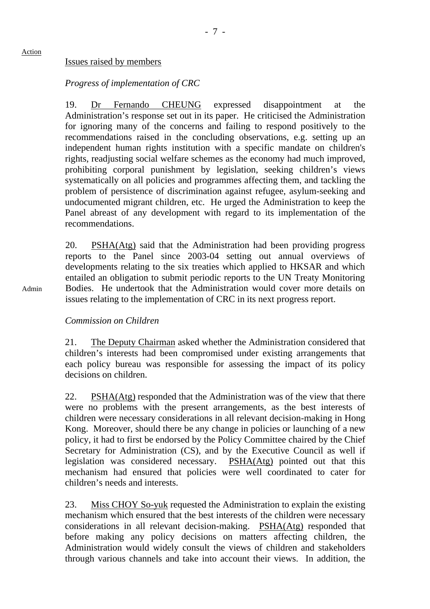#### Issues raised by members

#### *Progress of implementation of CRC*

19. Dr Fernando CHEUNG expressed disappointment at the Administration's response set out in its paper. He criticised the Administration for ignoring many of the concerns and failing to respond positively to the recommendations raised in the concluding observations, e.g. setting up an independent human rights institution with a specific mandate on children's rights, readjusting social welfare schemes as the economy had much improved, prohibiting corporal punishment by legislation, seeking children's views systematically on all policies and programmes affecting them, and tackling the problem of persistence of discrimination against refugee, asylum-seeking and undocumented migrant children, etc. He urged the Administration to keep the Panel abreast of any development with regard to its implementation of the recommendations.

20. PSHA(Atg) said that the Administration had been providing progress reports to the Panel since 2003-04 setting out annual overviews of developments relating to the six treaties which applied to HKSAR and which entailed an obligation to submit periodic reports to the UN Treaty Monitoring Bodies. He undertook that the Administration would cover more details on issues relating to the implementation of CRC in its next progress report.

Admin

Action

#### *Commission on Children*

21. The Deputy Chairman asked whether the Administration considered that children's interests had been compromised under existing arrangements that each policy bureau was responsible for assessing the impact of its policy decisions on children.

22. PSHA(Atg) responded that the Administration was of the view that there were no problems with the present arrangements, as the best interests of children were necessary considerations in all relevant decision-making in Hong Kong. Moreover, should there be any change in policies or launching of a new policy, it had to first be endorsed by the Policy Committee chaired by the Chief Secretary for Administration (CS), and by the Executive Council as well if legislation was considered necessary. PSHA(Atg) pointed out that this mechanism had ensured that policies were well coordinated to cater for children's needs and interests.

23. Miss CHOY So-yuk requested the Administration to explain the existing mechanism which ensured that the best interests of the children were necessary considerations in all relevant decision-making. PSHA(Atg) responded that before making any policy decisions on matters affecting children, the Administration would widely consult the views of children and stakeholders through various channels and take into account their views. In addition, the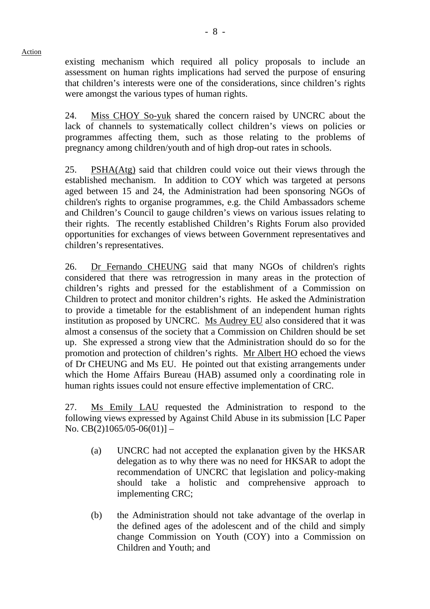existing mechanism which required all policy proposals to include an assessment on human rights implications had served the purpose of ensuring that children's interests were one of the considerations, since children's rights were amongst the various types of human rights.

24. Miss CHOY So-yuk shared the concern raised by UNCRC about the lack of channels to systematically collect children's views on policies or programmes affecting them, such as those relating to the problems of pregnancy among children/youth and of high drop-out rates in schools.

25. PSHA(Atg) said that children could voice out their views through the established mechanism. In addition to COY which was targeted at persons aged between 15 and 24, the Administration had been sponsoring NGOs of children's rights to organise programmes, e.g. the Child Ambassadors scheme and Children's Council to gauge children's views on various issues relating to their rights. The recently established Children's Rights Forum also provided opportunities for exchanges of views between Government representatives and children's representatives.

26. Dr Fernando CHEUNG said that many NGOs of children's rights considered that there was retrogression in many areas in the protection of children's rights and pressed for the establishment of a Commission on Children to protect and monitor children's rights. He asked the Administration to provide a timetable for the establishment of an independent human rights institution as proposed by UNCRC. Ms Audrey EU also considered that it was almost a consensus of the society that a Commission on Children should be set up. She expressed a strong view that the Administration should do so for the promotion and protection of children's rights. Mr Albert HO echoed the views of Dr CHEUNG and Ms EU. He pointed out that existing arrangements under which the Home Affairs Bureau (HAB) assumed only a coordinating role in human rights issues could not ensure effective implementation of CRC.

27. Ms Emily LAU requested the Administration to respond to the following views expressed by Against Child Abuse in its submission [LC Paper No.  $CB(2)1065/05-06(01)$ ] –

- (a) UNCRC had not accepted the explanation given by the HKSAR delegation as to why there was no need for HKSAR to adopt the recommendation of UNCRC that legislation and policy-making should take a holistic and comprehensive approach to implementing CRC;
- (b) the Administration should not take advantage of the overlap in the defined ages of the adolescent and of the child and simply change Commission on Youth (COY) into a Commission on Children and Youth; and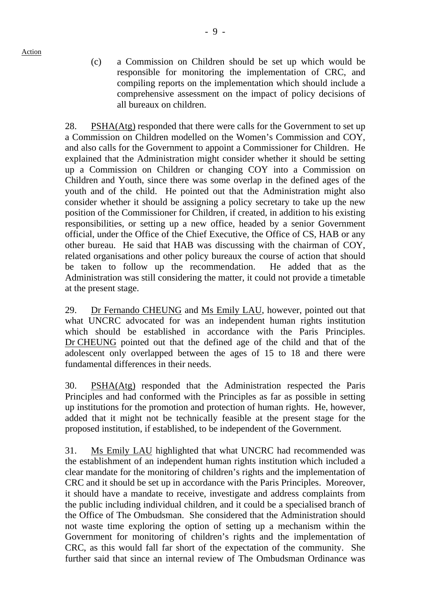(c) a Commission on Children should be set up which would be responsible for monitoring the implementation of CRC, and compiling reports on the implementation which should include a comprehensive assessment on the impact of policy decisions of all bureaux on children.

28. PSHA(Atg) responded that there were calls for the Government to set up a Commission on Children modelled on the Women's Commission and COY, and also calls for the Government to appoint a Commissioner for Children. He explained that the Administration might consider whether it should be setting up a Commission on Children or changing COY into a Commission on Children and Youth, since there was some overlap in the defined ages of the youth and of the child. He pointed out that the Administration might also consider whether it should be assigning a policy secretary to take up the new position of the Commissioner for Children, if created, in addition to his existing responsibilities, or setting up a new office, headed by a senior Government official, under the Office of the Chief Executive, the Office of CS, HAB or any other bureau. He said that HAB was discussing with the chairman of COY, related organisations and other policy bureaux the course of action that should be taken to follow up the recommendation. He added that as the Administration was still considering the matter, it could not provide a timetable at the present stage.

29. Dr Fernando CHEUNG and Ms Emily LAU, however, pointed out that what UNCRC advocated for was an independent human rights institution which should be established in accordance with the Paris Principles. Dr CHEUNG pointed out that the defined age of the child and that of the adolescent only overlapped between the ages of 15 to 18 and there were fundamental differences in their needs.

30. PSHA(Atg) responded that the Administration respected the Paris Principles and had conformed with the Principles as far as possible in setting up institutions for the promotion and protection of human rights. He, however, added that it might not be technically feasible at the present stage for the proposed institution, if established, to be independent of the Government.

31. Ms Emily LAU highlighted that what UNCRC had recommended was the establishment of an independent human rights institution which included a clear mandate for the monitoring of children's rights and the implementation of CRC and it should be set up in accordance with the Paris Principles. Moreover, it should have a mandate to receive, investigate and address complaints from the public including individual children, and it could be a specialised branch of the Office of The Ombudsman. She considered that the Administration should not waste time exploring the option of setting up a mechanism within the Government for monitoring of children's rights and the implementation of CRC, as this would fall far short of the expectation of the community. She further said that since an internal review of The Ombudsman Ordinance was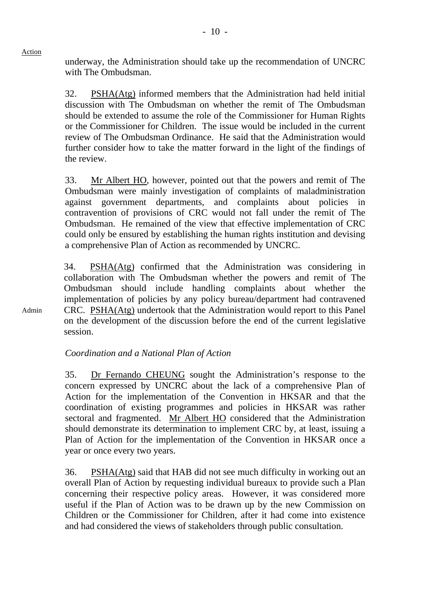Admin

underway, the Administration should take up the recommendation of UNCRC with The Ombudsman.

32. PSHA(Atg) informed members that the Administration had held initial discussion with The Ombudsman on whether the remit of The Ombudsman should be extended to assume the role of the Commissioner for Human Rights or the Commissioner for Children. The issue would be included in the current review of The Ombudsman Ordinance. He said that the Administration would further consider how to take the matter forward in the light of the findings of the review.

33. Mr Albert HO, however, pointed out that the powers and remit of The Ombudsman were mainly investigation of complaints of maladministration against government departments, and complaints about policies in contravention of provisions of CRC would not fall under the remit of The Ombudsman. He remained of the view that effective implementation of CRC could only be ensured by establishing the human rights institution and devising a comprehensive Plan of Action as recommended by UNCRC.

34. PSHA(Atg) confirmed that the Administration was considering in collaboration with The Ombudsman whether the powers and remit of The Ombudsman should include handling complaints about whether the implementation of policies by any policy bureau/department had contravened CRC. PSHA(Atg) undertook that the Administration would report to this Panel on the development of the discussion before the end of the current legislative session.

*Coordination and a National Plan of Action* 

35. Dr Fernando CHEUNG sought the Administration's response to the concern expressed by UNCRC about the lack of a comprehensive Plan of Action for the implementation of the Convention in HKSAR and that the coordination of existing programmes and policies in HKSAR was rather sectoral and fragmented. Mr Albert HO considered that the Administration should demonstrate its determination to implement CRC by, at least, issuing a Plan of Action for the implementation of the Convention in HKSAR once a year or once every two years.

36. PSHA(Atg) said that HAB did not see much difficulty in working out an overall Plan of Action by requesting individual bureaux to provide such a Plan concerning their respective policy areas. However, it was considered more useful if the Plan of Action was to be drawn up by the new Commission on Children or the Commissioner for Children, after it had come into existence and had considered the views of stakeholders through public consultation.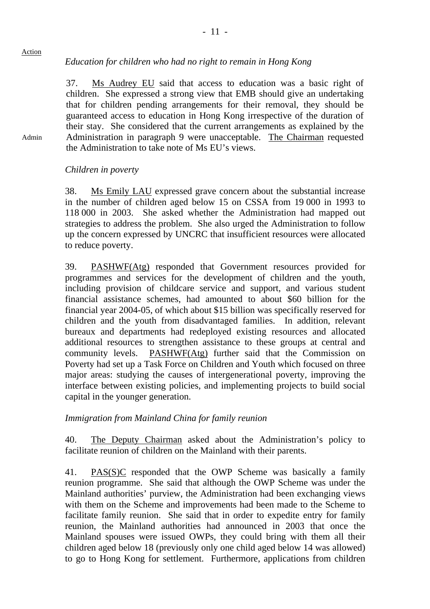## *Education for children who had no right to remain in Hong Kong*

37. Ms Audrey EU said that access to education was a basic right of children. She expressed a strong view that EMB should give an undertaking that for children pending arrangements for their removal, they should be guaranteed access to education in Hong Kong irrespective of the duration of their stay. She considered that the current arrangements as explained by the Administration in paragraph 9 were unacceptable. The Chairman requested the Administration to take note of Ms EU's views.

## *Children in poverty*

Action

Admin

38. Ms Emily LAU expressed grave concern about the substantial increase in the number of children aged below 15 on CSSA from 19 000 in 1993 to 118 000 in 2003. She asked whether the Administration had mapped out strategies to address the problem. She also urged the Administration to follow up the concern expressed by UNCRC that insufficient resources were allocated to reduce poverty.

39. PASHWF(Atg) responded that Government resources provided for programmes and services for the development of children and the youth, including provision of childcare service and support, and various student financial assistance schemes, had amounted to about \$60 billion for the financial year 2004-05, of which about \$15 billion was specifically reserved for children and the youth from disadvantaged families. In addition, relevant bureaux and departments had redeployed existing resources and allocated additional resources to strengthen assistance to these groups at central and community levels. PASHWF(Atg) further said that the Commission on Poverty had set up a Task Force on Children and Youth which focused on three major areas: studying the causes of intergenerational poverty, improving the interface between existing policies, and implementing projects to build social capital in the younger generation.

## *Immigration from Mainland China for family reunion*

40. The Deputy Chairman asked about the Administration's policy to facilitate reunion of children on the Mainland with their parents.

41. PAS(S)C responded that the OWP Scheme was basically a family reunion programme. She said that although the OWP Scheme was under the Mainland authorities' purview, the Administration had been exchanging views with them on the Scheme and improvements had been made to the Scheme to facilitate family reunion. She said that in order to expedite entry for family reunion, the Mainland authorities had announced in 2003 that once the Mainland spouses were issued OWPs, they could bring with them all their children aged below 18 (previously only one child aged below 14 was allowed) to go to Hong Kong for settlement. Furthermore, applications from children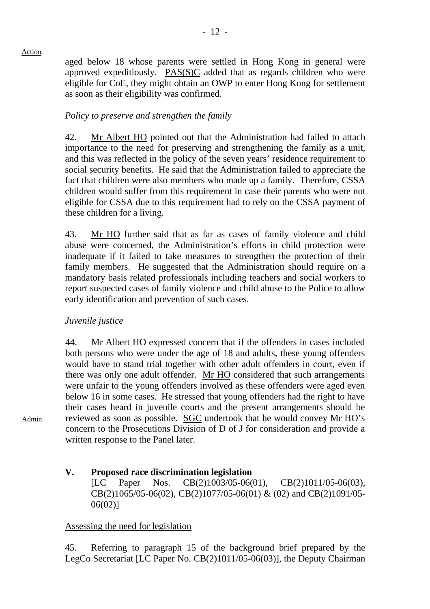aged below 18 whose parents were settled in Hong Kong in general were approved expeditiously. PAS(S)C added that as regards children who were eligible for CoE, they might obtain an OWP to enter Hong Kong for settlement as soon as their eligibility was confirmed.

## *Policy to preserve and strengthen the family*

42. Mr Albert HO pointed out that the Administration had failed to attach importance to the need for preserving and strengthening the family as a unit, and this was reflected in the policy of the seven years' residence requirement to social security benefits. He said that the Administration failed to appreciate the fact that children were also members who made up a family. Therefore, CSSA children would suffer from this requirement in case their parents who were not eligible for CSSA due to this requirement had to rely on the CSSA payment of these children for a living.

43. Mr HO further said that as far as cases of family violence and child abuse were concerned, the Administration's efforts in child protection were inadequate if it failed to take measures to strengthen the protection of their family members. He suggested that the Administration should require on a mandatory basis related professionals including teachers and social workers to report suspected cases of family violence and child abuse to the Police to allow early identification and prevention of such cases.

## *Juvenile justice*

44. Mr Albert HO expressed concern that if the offenders in cases included both persons who were under the age of 18 and adults, these young offenders would have to stand trial together with other adult offenders in court, even if there was only one adult offender. Mr HO considered that such arrangements were unfair to the young offenders involved as these offenders were aged even below 16 in some cases. He stressed that young offenders had the right to have their cases heard in juvenile courts and the present arrangements should be reviewed as soon as possible. SGC undertook that he would convey Mr HO's concern to the Prosecutions Division of D of J for consideration and provide a written response to the Panel later.

## **V. Proposed race discrimination legislation**

[LC Paper Nos. CB(2)1003/05-06(01), CB(2)1011/05-06(03), CB(2)1065/05-06(02), CB(2)1077/05-06(01) & (02) and CB(2)1091/05- 06(02)]

## Assessing the need for legislation

45. Referring to paragraph 15 of the background brief prepared by the LegCo Secretariat [LC Paper No. CB(2)1011/05-06(03)], the Deputy Chairman

Admin

Action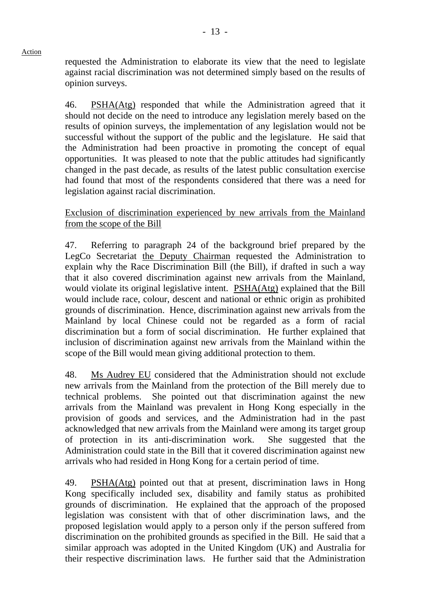requested the Administration to elaborate its view that the need to legislate against racial discrimination was not determined simply based on the results of opinion surveys.

Action

46. PSHA(Atg) responded that while the Administration agreed that it should not decide on the need to introduce any legislation merely based on the results of opinion surveys, the implementation of any legislation would not be successful without the support of the public and the legislature. He said that the Administration had been proactive in promoting the concept of equal opportunities. It was pleased to note that the public attitudes had significantly changed in the past decade, as results of the latest public consultation exercise had found that most of the respondents considered that there was a need for legislation against racial discrimination.

## Exclusion of discrimination experienced by new arrivals from the Mainland from the scope of the Bill

47. Referring to paragraph 24 of the background brief prepared by the LegCo Secretariat the Deputy Chairman requested the Administration to explain why the Race Discrimination Bill (the Bill), if drafted in such a way that it also covered discrimination against new arrivals from the Mainland, would violate its original legislative intent. PSHA(Atg) explained that the Bill would include race, colour, descent and national or ethnic origin as prohibited grounds of discrimination. Hence, discrimination against new arrivals from the Mainland by local Chinese could not be regarded as a form of racial discrimination but a form of social discrimination. He further explained that inclusion of discrimination against new arrivals from the Mainland within the scope of the Bill would mean giving additional protection to them.

48. Ms Audrey EU considered that the Administration should not exclude new arrivals from the Mainland from the protection of the Bill merely due to technical problems. She pointed out that discrimination against the new arrivals from the Mainland was prevalent in Hong Kong especially in the provision of goods and services, and the Administration had in the past acknowledged that new arrivals from the Mainland were among its target group of protection in its anti-discrimination work. She suggested that the Administration could state in the Bill that it covered discrimination against new arrivals who had resided in Hong Kong for a certain period of time.

49. PSHA(Atg) pointed out that at present, discrimination laws in Hong Kong specifically included sex, disability and family status as prohibited grounds of discrimination. He explained that the approach of the proposed legislation was consistent with that of other discrimination laws, and the proposed legislation would apply to a person only if the person suffered from discrimination on the prohibited grounds as specified in the Bill. He said that a similar approach was adopted in the United Kingdom (UK) and Australia for their respective discrimination laws. He further said that the Administration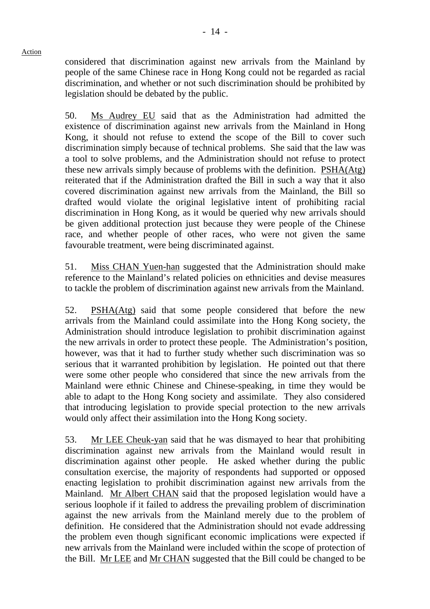considered that discrimination against new arrivals from the Mainland by people of the same Chinese race in Hong Kong could not be regarded as racial discrimination, and whether or not such discrimination should be prohibited by legislation should be debated by the public.

50. Ms Audrey EU said that as the Administration had admitted the existence of discrimination against new arrivals from the Mainland in Hong Kong, it should not refuse to extend the scope of the Bill to cover such discrimination simply because of technical problems. She said that the law was a tool to solve problems, and the Administration should not refuse to protect these new arrivals simply because of problems with the definition. PSHA(Atg) reiterated that if the Administration drafted the Bill in such a way that it also covered discrimination against new arrivals from the Mainland, the Bill so drafted would violate the original legislative intent of prohibiting racial discrimination in Hong Kong, as it would be queried why new arrivals should be given additional protection just because they were people of the Chinese race, and whether people of other races, who were not given the same favourable treatment, were being discriminated against.

51. Miss CHAN Yuen-han suggested that the Administration should make reference to the Mainland's related policies on ethnicities and devise measures to tackle the problem of discrimination against new arrivals from the Mainland.

52. PSHA(Atg) said that some people considered that before the new arrivals from the Mainland could assimilate into the Hong Kong society, the Administration should introduce legislation to prohibit discrimination against the new arrivals in order to protect these people. The Administration's position, however, was that it had to further study whether such discrimination was so serious that it warranted prohibition by legislation. He pointed out that there were some other people who considered that since the new arrivals from the Mainland were ethnic Chinese and Chinese-speaking, in time they would be able to adapt to the Hong Kong society and assimilate. They also considered that introducing legislation to provide special protection to the new arrivals would only affect their assimilation into the Hong Kong society.

53. Mr LEE Cheuk-yan said that he was dismayed to hear that prohibiting discrimination against new arrivals from the Mainland would result in discrimination against other people. He asked whether during the public consultation exercise, the majority of respondents had supported or opposed enacting legislation to prohibit discrimination against new arrivals from the Mainland. Mr Albert CHAN said that the proposed legislation would have a serious loophole if it failed to address the prevailing problem of discrimination against the new arrivals from the Mainland merely due to the problem of definition. He considered that the Administration should not evade addressing the problem even though significant economic implications were expected if new arrivals from the Mainland were included within the scope of protection of the Bill. Mr LEE and Mr CHAN suggested that the Bill could be changed to be

Action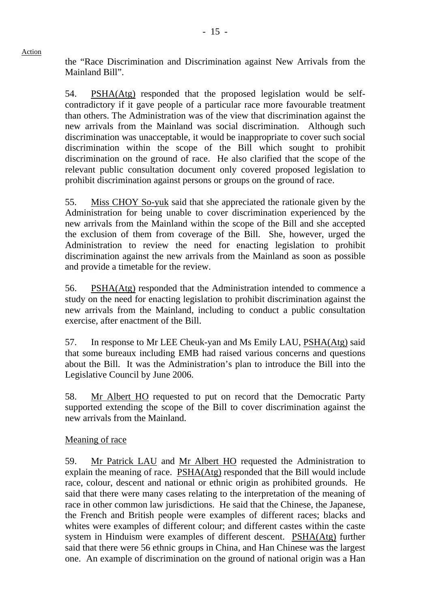the "Race Discrimination and Discrimination against New Arrivals from the Mainland Bill".

54. PSHA(Atg) responded that the proposed legislation would be selfcontradictory if it gave people of a particular race more favourable treatment than others. The Administration was of the view that discrimination against the new arrivals from the Mainland was social discrimination. Although such discrimination was unacceptable, it would be inappropriate to cover such social discrimination within the scope of the Bill which sought to prohibit discrimination on the ground of race. He also clarified that the scope of the relevant public consultation document only covered proposed legislation to prohibit discrimination against persons or groups on the ground of race.

55. Miss CHOY So-yuk said that she appreciated the rationale given by the Administration for being unable to cover discrimination experienced by the new arrivals from the Mainland within the scope of the Bill and she accepted the exclusion of them from coverage of the Bill. She, however, urged the Administration to review the need for enacting legislation to prohibit discrimination against the new arrivals from the Mainland as soon as possible and provide a timetable for the review.

56. PSHA(Atg) responded that the Administration intended to commence a study on the need for enacting legislation to prohibit discrimination against the new arrivals from the Mainland, including to conduct a public consultation exercise, after enactment of the Bill.

57. In response to Mr LEE Cheuk-yan and Ms Emily LAU, PSHA(Atg) said that some bureaux including EMB had raised various concerns and questions about the Bill. It was the Administration's plan to introduce the Bill into the Legislative Council by June 2006.

58. Mr Albert HO requested to put on record that the Democratic Party supported extending the scope of the Bill to cover discrimination against the new arrivals from the Mainland.

## Meaning of race

59. Mr Patrick LAU and Mr Albert HO requested the Administration to explain the meaning of race. PSHA(Atg) responded that the Bill would include race, colour, descent and national or ethnic origin as prohibited grounds. He said that there were many cases relating to the interpretation of the meaning of race in other common law jurisdictions. He said that the Chinese, the Japanese, the French and British people were examples of different races; blacks and whites were examples of different colour; and different castes within the caste system in Hinduism were examples of different descent. PSHA(Atg) further said that there were 56 ethnic groups in China, and Han Chinese was the largest one. An example of discrimination on the ground of national origin was a Han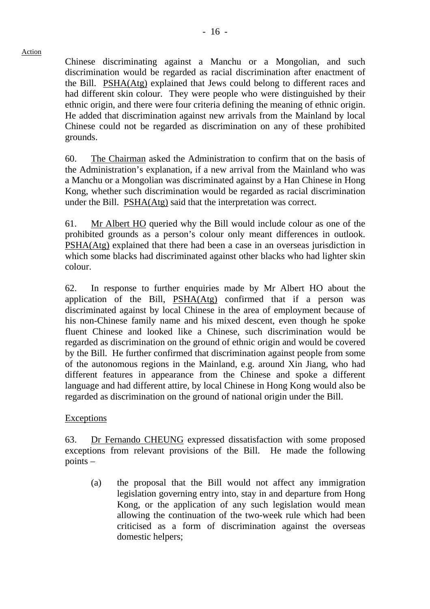Chinese discriminating against a Manchu or a Mongolian, and such discrimination would be regarded as racial discrimination after enactment of the Bill. PSHA(Atg) explained that Jews could belong to different races and had different skin colour. They were people who were distinguished by their ethnic origin, and there were four criteria defining the meaning of ethnic origin. He added that discrimination against new arrivals from the Mainland by local Chinese could not be regarded as discrimination on any of these prohibited grounds.

60. The Chairman asked the Administration to confirm that on the basis of the Administration's explanation, if a new arrival from the Mainland who was a Manchu or a Mongolian was discriminated against by a Han Chinese in Hong Kong, whether such discrimination would be regarded as racial discrimination under the Bill. PSHA(Atg) said that the interpretation was correct.

61. Mr Albert HO queried why the Bill would include colour as one of the prohibited grounds as a person's colour only meant differences in outlook. PSHA(Atg) explained that there had been a case in an overseas jurisdiction in which some blacks had discriminated against other blacks who had lighter skin colour.

62. In response to further enquiries made by Mr Albert HO about the application of the Bill, PSHA(Atg) confirmed that if a person was discriminated against by local Chinese in the area of employment because of his non-Chinese family name and his mixed descent, even though he spoke fluent Chinese and looked like a Chinese, such discrimination would be regarded as discrimination on the ground of ethnic origin and would be covered by the Bill. He further confirmed that discrimination against people from some of the autonomous regions in the Mainland, e.g. around Xin Jiang, who had different features in appearance from the Chinese and spoke a different language and had different attire, by local Chinese in Hong Kong would also be regarded as discrimination on the ground of national origin under the Bill.

## Exceptions

63. Dr Fernando CHEUNG expressed dissatisfaction with some proposed exceptions from relevant provisions of the Bill. He made the following points –

(a) the proposal that the Bill would not affect any immigration legislation governing entry into, stay in and departure from Hong Kong, or the application of any such legislation would mean allowing the continuation of the two-week rule which had been criticised as a form of discrimination against the overseas domestic helpers;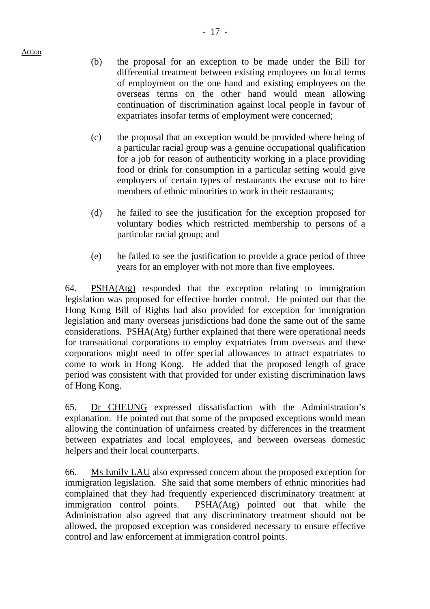- (b) the proposal for an exception to be made under the Bill for differential treatment between existing employees on local terms of employment on the one hand and existing employees on the overseas terms on the other hand would mean allowing continuation of discrimination against local people in favour of expatriates insofar terms of employment were concerned;
- (c) the proposal that an exception would be provided where being of a particular racial group was a genuine occupational qualification for a job for reason of authenticity working in a place providing food or drink for consumption in a particular setting would give employers of certain types of restaurants the excuse not to hire members of ethnic minorities to work in their restaurants:
- (d) he failed to see the justification for the exception proposed for voluntary bodies which restricted membership to persons of a particular racial group; and
- (e) he failed to see the justification to provide a grace period of three years for an employer with not more than five employees.

64. PSHA(Atg) responded that the exception relating to immigration legislation was proposed for effective border control. He pointed out that the Hong Kong Bill of Rights had also provided for exception for immigration legislation and many overseas jurisdictions had done the same out of the same considerations. PSHA(Atg) further explained that there were operational needs for transnational corporations to employ expatriates from overseas and these corporations might need to offer special allowances to attract expatriates to come to work in Hong Kong. He added that the proposed length of grace period was consistent with that provided for under existing discrimination laws of Hong Kong.

65. Dr CHEUNG expressed dissatisfaction with the Administration's explanation. He pointed out that some of the proposed exceptions would mean allowing the continuation of unfairness created by differences in the treatment between expatriates and local employees, and between overseas domestic helpers and their local counterparts.

66. Ms Emily LAU also expressed concern about the proposed exception for immigration legislation. She said that some members of ethnic minorities had complained that they had frequently experienced discriminatory treatment at immigration control points. PSHA(Atg) pointed out that while the Administration also agreed that any discriminatory treatment should not be allowed, the proposed exception was considered necessary to ensure effective control and law enforcement at immigration control points.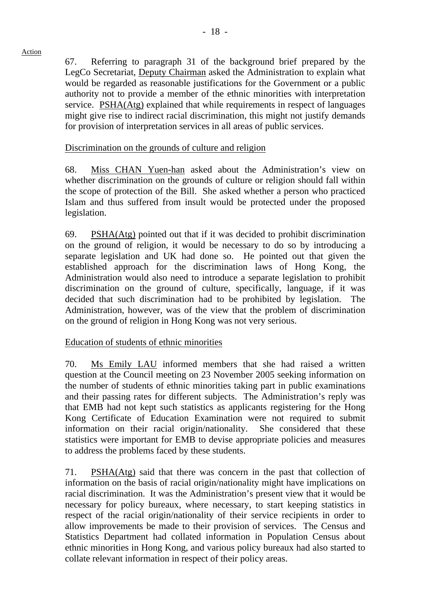67. Referring to paragraph 31 of the background brief prepared by the LegCo Secretariat, Deputy Chairman asked the Administration to explain what would be regarded as reasonable justifications for the Government or a public authority not to provide a member of the ethnic minorities with interpretation service. PSHA(Atg) explained that while requirements in respect of languages might give rise to indirect racial discrimination, this might not justify demands for provision of interpretation services in all areas of public services.

## Discrimination on the grounds of culture and religion

68. Miss CHAN Yuen-han asked about the Administration's view on whether discrimination on the grounds of culture or religion should fall within the scope of protection of the Bill. She asked whether a person who practiced Islam and thus suffered from insult would be protected under the proposed legislation.

69. PSHA(Atg) pointed out that if it was decided to prohibit discrimination on the ground of religion, it would be necessary to do so by introducing a separate legislation and UK had done so. He pointed out that given the established approach for the discrimination laws of Hong Kong, the Administration would also need to introduce a separate legislation to prohibit discrimination on the ground of culture, specifically, language, if it was decided that such discrimination had to be prohibited by legislation. The Administration, however, was of the view that the problem of discrimination on the ground of religion in Hong Kong was not very serious.

## Education of students of ethnic minorities

70. Ms Emily LAU informed members that she had raised a written question at the Council meeting on 23 November 2005 seeking information on the number of students of ethnic minorities taking part in public examinations and their passing rates for different subjects. The Administration's reply was that EMB had not kept such statistics as applicants registering for the Hong Kong Certificate of Education Examination were not required to submit information on their racial origin/nationality. She considered that these statistics were important for EMB to devise appropriate policies and measures to address the problems faced by these students.

71. PSHA(Atg) said that there was concern in the past that collection of information on the basis of racial origin/nationality might have implications on racial discrimination. It was the Administration's present view that it would be necessary for policy bureaux, where necessary, to start keeping statistics in respect of the racial origin/nationality of their service recipients in order to allow improvements be made to their provision of services. The Census and Statistics Department had collated information in Population Census about ethnic minorities in Hong Kong, and various policy bureaux had also started to collate relevant information in respect of their policy areas.